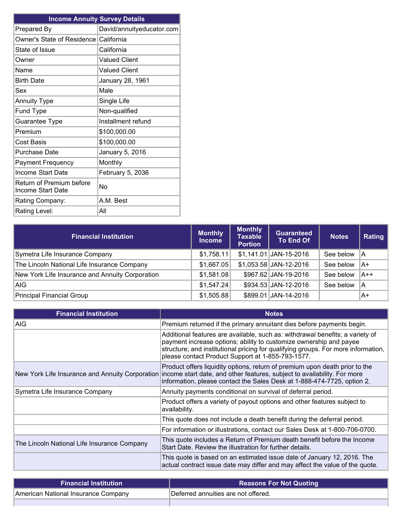| <b>Income Annuity Survey Details</b>                 |                           |  |
|------------------------------------------------------|---------------------------|--|
| Prepared By                                          | David/annuityeducator.com |  |
| Owner's State of Residence California                |                           |  |
| State of Issue                                       | California                |  |
| Owner                                                | <b>Valued Client</b>      |  |
| Name                                                 | <b>Valued Client</b>      |  |
| <b>Birth Date</b>                                    | January 28, 1961          |  |
| Sex                                                  | Male                      |  |
| <b>Annuity Type</b>                                  | Single Life               |  |
| Fund Type                                            | Non-qualified             |  |
| Guarantee Type                                       | Installment refund        |  |
| Premium                                              | \$100,000.00              |  |
| <b>Cost Basis</b>                                    | \$100,000.00              |  |
| <b>Purchase Date</b>                                 | January 5, 2016           |  |
| <b>Payment Frequency</b>                             | Monthly                   |  |
| Income Start Date                                    | February 5, 2036          |  |
| Return of Premium before<br><b>Income Start Date</b> | No                        |  |
| Rating Company:                                      | A.M. Best                 |  |
| Rating Level:                                        | All                       |  |

| <b>Financial Institution</b>                    | <b>Monthly</b><br><b>Income</b> | <b>Monthly</b><br><b>Taxable</b><br><b>Portion</b> | Guaranteed<br><b>To End Of</b> | Notes     | Rating |
|-------------------------------------------------|---------------------------------|----------------------------------------------------|--------------------------------|-----------|--------|
| Symetra Life Insurance Company                  | \$1,758.11                      |                                                    | \$1,141.01 JAN-15-2016         | See below | ۱A     |
| The Lincoln National Life Insurance Company     | \$1,667.05                      |                                                    | \$1,053.58 JAN-12-2016         | See below | lA+    |
| New York Life Insurance and Annuity Corporation | \$1,581.08                      |                                                    | \$967.62 JAN-19-2016           | See below | A++    |
| AIG.                                            | \$1,547.24                      |                                                    | \$934.53 JAN-12-2016           | See below | ۱A     |
| Principal Financial Group                       | \$1,505.88                      |                                                    | \$899.01 JAN-14-2016           |           | lA+    |

| <b>Financial Institution</b>                | <b>Notes</b>                                                                                                                                                                                                                                                                                  |
|---------------------------------------------|-----------------------------------------------------------------------------------------------------------------------------------------------------------------------------------------------------------------------------------------------------------------------------------------------|
| <b>AIG</b>                                  | Premium returned if the primary annuitant dies before payments begin.                                                                                                                                                                                                                         |
|                                             | Additional features are available, such as: withdrawal benefits; a variety of<br>payment increase options; ability to customize ownership and payee<br>structure; and institutional pricing for qualifying groups. For more information,<br>please contact Product Support at 1-855-793-1577. |
|                                             | Product offers liquidity options, return of premium upon death prior to the<br>New York Life Insurance and Annuity Corporation income start date, and other features, subject to availability. For more<br>information, please contact the Sales Desk at 1-888-474-7725, option 2.            |
| Symetra Life Insurance Company              | Annuity payments conditional on survival of deferral period.                                                                                                                                                                                                                                  |
|                                             | Product offers a variety of payout options and other features subject to<br>availability.                                                                                                                                                                                                     |
|                                             | This quote does not include a death benefit during the deferral period.                                                                                                                                                                                                                       |
|                                             | For information or illustrations, contact our Sales Desk at 1-800-706-0700.                                                                                                                                                                                                                   |
| The Lincoln National Life Insurance Company | This quote includes a Return of Premium death benefit before the Income<br>Start Date. Review the illustration for further details.                                                                                                                                                           |
|                                             | This quote is based on an estimated issue date of January 12, 2016. The<br>actual contract issue date may differ and may affect the value of the quote.                                                                                                                                       |

| <b>Financial Institution</b>        | <b>Reasons For Not Quoting</b>      |
|-------------------------------------|-------------------------------------|
| American National Insurance Company | Deferred annuities are not offered. |
|                                     |                                     |